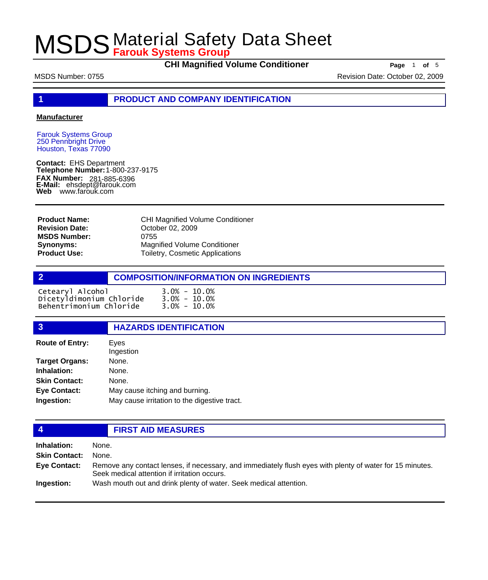**CHI Magnified Volume Conditioner Page** 1 of 5

MSDS Number: 0755 Revision Date: October 02, 2009

**1 PRODUCT AND COMPANY IDENTIFICATION**

### **Manufacturer**

Farouk Systems Group 250 Pennbright Drive Houston, Texas 77090

**Contact:** EHS Department **Telephone Number:** 1-800-237-9175 **FAX Number: FAX Number:** 281-885-6396<br>**E-Mail:** ehsdept@farouk.com **Web** www.farouk.com

CHI Magnified Volume Conditioner October 02, 2009 0755 Magnified Volume Conditioner Toiletry, Cosmetic Applications **Product Name: Revision Date: MSDS Number: Synonyms: Product Use:**

|                          | <b>COMPOSITION/INFORMATION ON INGREDIENTS</b> |
|--------------------------|-----------------------------------------------|
| Cetearyl Alcohol         | $3.0\% - 10.0\%$                              |
| Dicetyldimonium Chloride | $3.0\% - 10.0\%$                              |
| Behentrimonium Chloride  | $3.0\% - 10.0\%$                              |

### **3 HAZARDS IDENTIFICATION** Eyes Ingestion **Route of Entry: Target Organs:** None. **Inhalation:** None. **Skin Contact:** None. **Eye Contact:** May cause itching and burning. **Ingestion:** May cause irritation to the digestive tract.

## **4 FIRST AID MEASURES**

**Inhalation:** None. **Skin Contact:** None. Remove any contact lenses, if necessary, and immediately flush eyes with plenty of water for 15 minutes. Seek medical attention if irritation occurs. **Eye Contact: Ingestion:** Wash mouth out and drink plenty of water. Seek medical attention.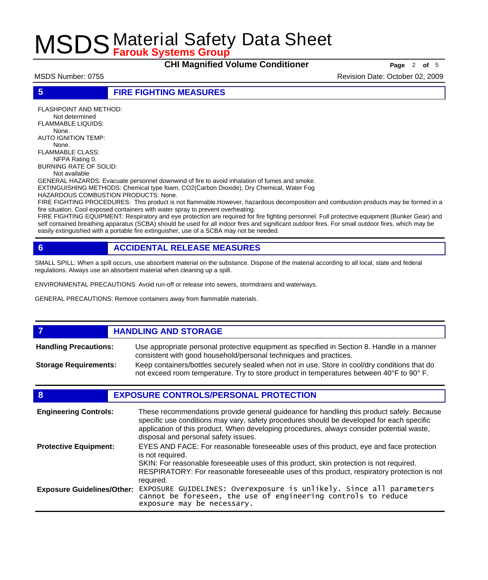**CHI Magnified Volume Conditioner Page** <sup>2</sup> **of** <sup>5</sup>

MSDS Number: 0755 Revision Date: October 02, 2009

**5 FIRE FIGHTING MEASURES**

FLASHPOINT AND METHOD: Not determined FLAMMABLE LIQUIDS: None. AUTO IGNITION TEMP: None. FLAMMABLE CLASS: NFPA Rating 0. BURNING RATE OF SOLID: Not available GENERAL HAZARDS: Evacuate personnel downwind of fire to avoid inhalation of fumes and smoke. EXTINGUISHING METHODS: Chemical type foam, CO2(Carbon Dioxide), Dry Chemical, Water Fog HAZARDOUS COMBUSTION PRODUCTS: None.

FIRE FIGHTING PROCEDURES: This product is not flammable.However, hazardous decomposition and combustion products may be formed in a fire situation. Cool exposed containers with water spray to prevent overheating.

FIRE FIGHTING EQUIPMENT: Respiratory and eye protection are required for fire fighting personnel. Full protective equipment (Bunker Gear) and self contained breathing apparatus (SCBA) should be used for all indoor fires and significant outdoor fires. For small outdoor fires, which may be easily extinguished with a portable fire extinguisher, use of a SCBA may not be needed.

## **6 ACCIDENTAL RELEASE MEASURES**

SMALL SPILL: When a spill occurs, use absorbent material on the substance. Dispose of the material according to all local, state and federal regulations. Always use an absorbent material when cleaning up a spill.

ENVIRONMENTAL PRECAUTIONS: Avoid run-off or release into sewers, stormdrains and waterways.

GENERAL PRECAUTIONS: Remove containers away from flammable materials.

### *HANDLING AND STORAGE* Use appropriate personal protective equipment as specified in Section 8. Handle in a manner consistent with good household/personal techniques and practices. **Handling Precautions:** Keep containers/bottles securely sealed when not in use. Store in cool/dry conditions that do not exceed room temperature. Try to store product in temperatures between 40°F to 90° F. **Storage Requirements:**

## **8 EXPOSURE CONTROLS/PERSONAL PROTECTION**

| <b>Engineering Controls:</b>      | These recommendations provide general guideance for handling this product safely. Because<br>specific use conditions may vary, safety procedures should be developed for each specific<br>application of this product. When developing procedures, always consider potential waste,<br>disposal and personal safety issues. |
|-----------------------------------|-----------------------------------------------------------------------------------------------------------------------------------------------------------------------------------------------------------------------------------------------------------------------------------------------------------------------------|
| <b>Protective Equipment:</b>      | EYES AND FACE: For reasonable foreseeable uses of this product, eye and face protection<br>is not required.<br>SKIN: For reasonable foreseeable uses of this product, skin protection is not required.<br>RESPIRATORY: For reasonable foreseeable uses of this product, respiratory protection is not<br>required.          |
| <b>Exposure Guidelines/Other:</b> | EXPOSURE GUIDELINES: Overexposure is unlikely. Since all parameters cannot be foreseen, the use of engineering controls to reduce<br>exposure may be necessary.                                                                                                                                                             |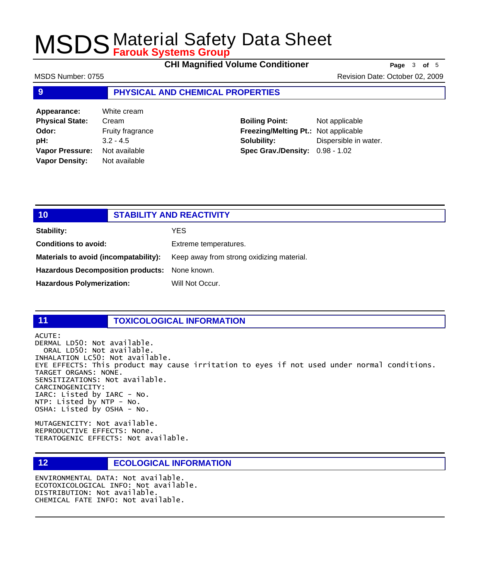**CHI Magnified Volume Conditioner Page** 3 of 5

MSDS Number: 0755 Revision Date: October 02, 2009

### **9 PHYSICAL AND CHEMICAL PROPERTIES**

**Appearance:** White cream **Physical State:** Cream **Odor:** Fruity fragrance **pH:** 3.2 - 4.5 **Vapor Pressure:** Not available **Vapor Density:** Not available

**Boiling Point:** Not applicable **Freezing/Melting Pt.:** Not applicable **Solubility:** Dispersible in water. **Spec Grav./Density:** 0.98 - 1.02

## **10 STABILITY AND REACTIVITY Stability:** YES **Conditions to avoid:** Extreme temperatures. Materials to avoid (incompatability): Keep away from strong oxidizing material. **Hazardous Decomposition products:** None known.

Hazardous Polymerization: Will Not Occur.

## **11 TOXICOLOGICAL INFORMATION**

ACUTE:

DERMAL LD50: Not available. ORAL LD50: Not available. INHALATION LC50: Not available. EYE EFFECTS: This product may cause irritation to eyes if not used under normal conditions. TARGET ORGANS: NONE. SENSITIZATIONS: Not available. CARCINOGENICITY: IARC: Listed by IARC - No. NTP: Listed by NTP - No. OSHA: Listed by OSHA - No.

MUTAGENICITY: Not available. REPRODUCTIVE EFFECTS: None. TERATOGENIC EFFECTS: Not available.

## **12 ECOLOGICAL INFORMATION**

ENVIRONMENTAL DATA: Not available. ECOTOXICOLOGICAL INFO: Not available. DISTRIBUTION: Not available. CHEMICAL FATE INFO: Not available.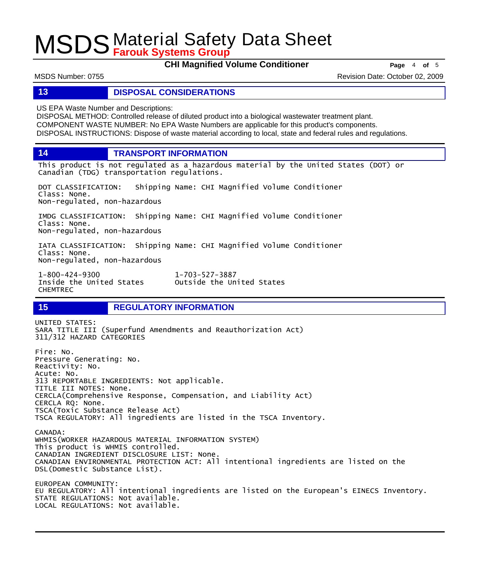**CHI Magnified Volume Conditioner Page** 4 of 5

MSDS Number: 0755 Revision Date: October 02, 2009

### **13 DISPOSAL CONSIDERATIONS**

US EPA Waste Number and Descriptions:

DISPOSAL METHOD: Controlled release of diluted product into a biological wastewater treatment plant. COMPONENT WASTE NUMBER: No EPA Waste Numbers are applicable for this product's components. DISPOSAL INSTRUCTIONS: Dispose of waste material according to local, state and federal rules and regulations.

**14 TRANSPORT INFORMATION**

This product is not regulated as a hazardous material by the United States (DOT) or Canadian (TDG) transportation regulations.

DOT CLASSIFICATION: Shipping Name: CHI Magnified Volume Conditioner Class: None. Non-regulated, non-hazardous

IMDG CLASSIFICATION: Shipping Name: CHI Magnified Volume Conditioner Class: None. Non-regulated, non-hazardous

IATA CLASSIFICATION: Shipping Name: CHI Magnified Volume Conditioner Class: None. Non-regulated, non-hazardous

1-800-424-9300 1-703-527-3887 CHEMTREC

Outside the United States

## **15 REGULATORY INFORMATION**

UNITED STATES: SARA TITLE III (Superfund Amendments and Reauthorization Act) 311/312 HAZARD CATEGORIES Fire: No. Pressure Generating: No. Reactivity: No. Acute: No. 313 REPORTABLE INGREDIENTS: Not applicable. TITLE III NOTES: None. CERCLA(Comprehensive Response, Compensation, and Liability Act) CERCLA RQ: None. TSCA(Toxic Substance Release Act) TSCA REGULATORY: All ingredients are listed in the TSCA Inventory. CANADA: WHMIS(WORKER HAZARDOUS MATERIAL INFORMATION SYSTEM) This product is WHMIS controlled. CANADIAN INGREDIENT DISCLOSURE LIST: None. CANADIAN ENVIRONMENTAL PROTECTION ACT: All intentional ingredients are listed on the DSL(Domestic Substance List). EUROPEAN COMMUNITY: EU REGULATORY: All intentional ingredients are listed on the European's EINECS Inventory. STATE REGULATIONS: Not available. LOCAL REGULATIONS: Not available.